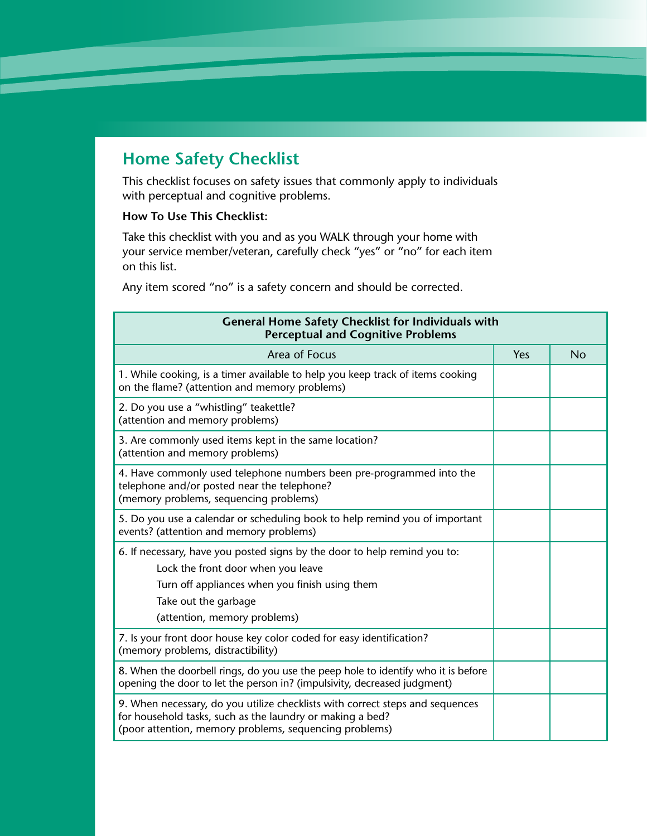## **Home Safety Checklist**

This checklist focuses on safety issues that commonly apply to individuals with perceptual and cognitive problems.

## **How To Use This Checklist:**

Take this checklist with you and as you WALK through your home with your service member/veteran, carefully check "yes" or "no" for each item on this list.

Any item scored "no" is a safety concern and should be corrected.

| <b>General Home Safety Checklist for Individuals with</b><br><b>Perceptual and Cognitive Problems</b>                                                                                                                     |     |    |  |
|---------------------------------------------------------------------------------------------------------------------------------------------------------------------------------------------------------------------------|-----|----|--|
| Area of Focus                                                                                                                                                                                                             | Yes | No |  |
| 1. While cooking, is a timer available to help you keep track of items cooking<br>on the flame? (attention and memory problems)                                                                                           |     |    |  |
| 2. Do you use a "whistling" teakettle?<br>(attention and memory problems)                                                                                                                                                 |     |    |  |
| 3. Are commonly used items kept in the same location?<br>(attention and memory problems)                                                                                                                                  |     |    |  |
| 4. Have commonly used telephone numbers been pre-programmed into the<br>telephone and/or posted near the telephone?<br>(memory problems, sequencing problems)                                                             |     |    |  |
| 5. Do you use a calendar or scheduling book to help remind you of important<br>events? (attention and memory problems)                                                                                                    |     |    |  |
| 6. If necessary, have you posted signs by the door to help remind you to:<br>Lock the front door when you leave<br>Turn off appliances when you finish using them<br>Take out the garbage<br>(attention, memory problems) |     |    |  |
| 7. Is your front door house key color coded for easy identification?<br>(memory problems, distractibility)                                                                                                                |     |    |  |
| 8. When the doorbell rings, do you use the peep hole to identify who it is before<br>opening the door to let the person in? (impulsivity, decreased judgment)                                                             |     |    |  |
| 9. When necessary, do you utilize checklists with correct steps and sequences<br>for household tasks, such as the laundry or making a bed?<br>(poor attention, memory problems, sequencing problems)                      |     |    |  |